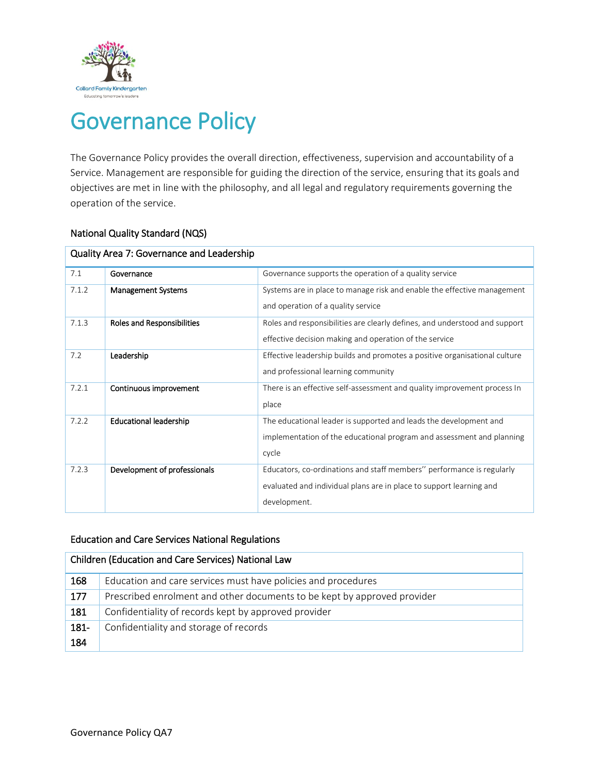

# Governance Policy

The Governance Policy provides the overall direction, effectiveness, supervision and accountability of a Service. Management are responsible for guiding the direction of the service, ensuring that its goals and objectives are met in line with the philosophy, and all legal and regulatory requirements governing the operation of the service.

| Quality Area 7: Governance and Leadership |                                   |                                                                                                                                                              |  |  |
|-------------------------------------------|-----------------------------------|--------------------------------------------------------------------------------------------------------------------------------------------------------------|--|--|
| 7.1                                       | Governance                        | Governance supports the operation of a quality service                                                                                                       |  |  |
| 7.1.2                                     | <b>Management Systems</b>         | Systems are in place to manage risk and enable the effective management<br>and operation of a quality service                                                |  |  |
| 7.1.3                                     | <b>Roles and Responsibilities</b> | Roles and responsibilities are clearly defines, and understood and support<br>effective decision making and operation of the service                         |  |  |
| 7.2                                       | Leadership                        | Effective leadership builds and promotes a positive organisational culture<br>and professional learning community                                            |  |  |
| 7.2.1                                     | Continuous improvement            | There is an effective self-assessment and quality improvement process In<br>place                                                                            |  |  |
| 7.2.2                                     | <b>Educational leadership</b>     | The educational leader is supported and leads the development and<br>implementation of the educational program and assessment and planning<br>cycle          |  |  |
| 7.2.3                                     | Development of professionals      | Educators, co-ordinations and staff members" performance is regularly<br>evaluated and individual plans are in place to support learning and<br>development. |  |  |

#### National Quality Standard (NQS)

#### Education and Care Services National Regulations

| Children (Education and Care Services) National Law |                                                                          |  |  |
|-----------------------------------------------------|--------------------------------------------------------------------------|--|--|
| 168                                                 | Education and care services must have policies and procedures            |  |  |
| 177                                                 | Prescribed enrolment and other documents to be kept by approved provider |  |  |
| 181                                                 | Confidentiality of records kept by approved provider                     |  |  |
| 181-                                                | Confidentiality and storage of records                                   |  |  |
| 184                                                 |                                                                          |  |  |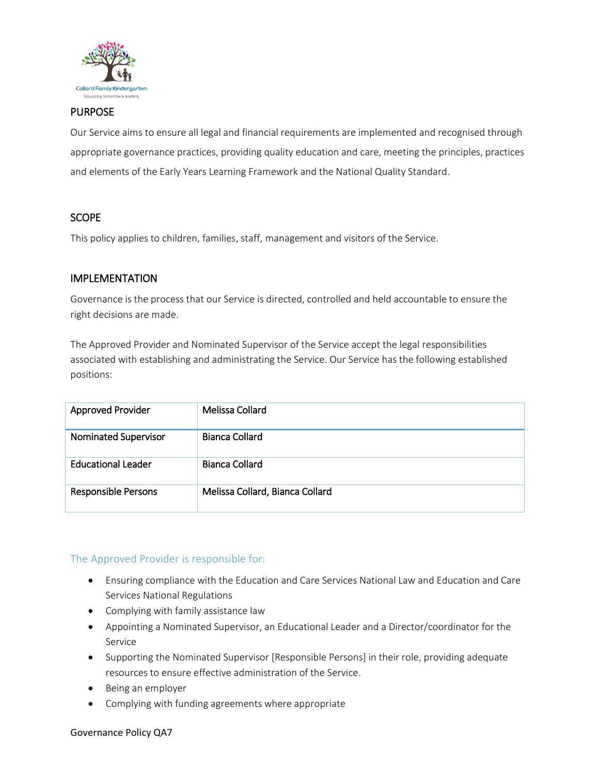

#### PURPOSE

Our Service aims to ensure all legal and financial requirements are implemented and recognised through appropriate governance practices, providing quality education and care, meeting the principles, practices and elements of the Early Years Learning Framework and the National Quality Standard.

#### **SCOPE**

This policy applies to children, families, staff, management and visitors of the Service.

#### IMPLEMENTATION

Governance is the process that our Service is directed, controlled and held accountable to ensure the right decisions are made.

The Approved Provider and Nominated Supervisor of the Service accept the legal responsibilities associated with establishing and administrating the Service. Our Service has the following established positions:

| <b>Approved Provider</b>    | Melissa Collard                 |
|-----------------------------|---------------------------------|
| <b>Nominated Supervisor</b> | Bianca Collard                  |
| <b>Educational Leader</b>   | Bianca Collard                  |
| <b>Responsible Persons</b>  | Melissa Collard, Bianca Collard |

# The Approved Provider is responsible for:

- Ensuring compliance with the Education and Care Services National Law and Education and Care Services National Regulations
- Complying with family assistance law
- Appointing a Nominated Supervisor, an Educational Leader and a Director/coordinator for the Service
- Supporting the Nominated Supervisor [Responsible Persons] in their role, providing adequate resources to ensure effective administration of the Service.
- Being an employer
- Complying with funding agreements where appropriate

#### Governance Policy QA7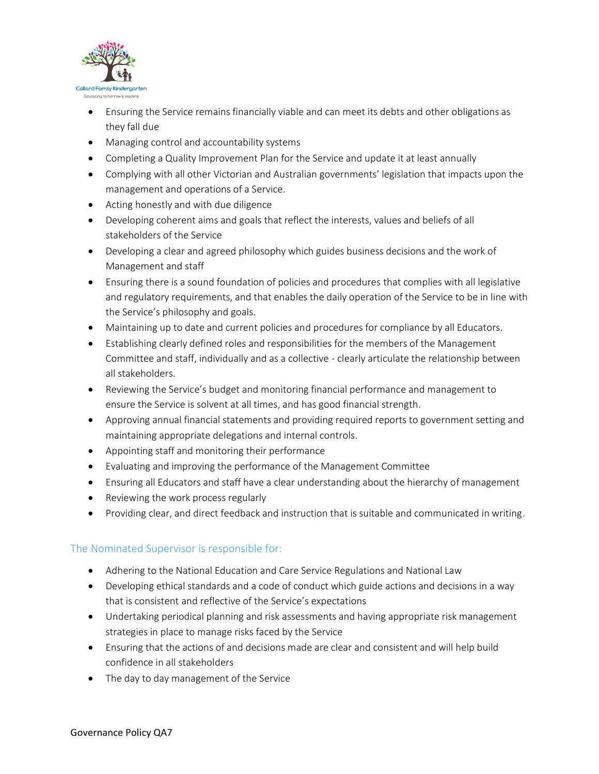

- Ensuring the Service remains financially viable and can meet its debts and other obligations as they fall due
- Managing control and accountability systems
- Completing a Quality Improvement Plan for the Service and update it at least annually
- Complying with all other Victorian and Australian governments' legislation that impacts upon the management and operations of a Service.
- Acting honestly and with due diligence
- Developing coherent aims and goals that reflect the interests, values and beliefs of all stakeholders of the Service
- Developing a clear and agreed philosophy which guides business decisions and the work of Management and staff
- Ensuring there is a sound foundation of policies and procedures that complies with all legislative and regulatory requirements, and that enables the daily operation of the Service to be in line with the Service's philosophy and goals.
- Maintaining up to date and current policies and procedures for compliance by all Educators.
- Establishing clearly defined roles and responsibilities for the members of the Management Committee and staff, individually and as a collective - clearly articulate the relationship between all stakeholders.
- Reviewing the Service's budget and monitoring financial performance and management to ensure the Service is solvent at all times, and has good financial strength.
- Approving annual financial statements and providing required reports to government setting and maintaining appropriate delegations and internal controls.
- Appointing staff and monitoring their performance
- Evaluating and improving the performance of the Management Committee
- Ensuring all Educators and staff have a clear understanding about the hierarchy of management
- Reviewing the work process regularly
- Providing clear, and direct feedback and instruction that is suitable and communicated in writing.

# The Nominated Supervisor is responsible for:

- Adhering to the National Education and Care Service Regulations and National Law
- Developing ethical standards and a code of conduct which guide actions and decisions in a way that is consistent and reflective of the Service's expectations
- Undertaking periodical planning and risk assessments and having appropriate risk management strategies in place to manage risks faced by the Service
- Ensuring that the actions of and decisions made are clear and consistent and will help build confidence in all stakeholders
- The day to day management of the Service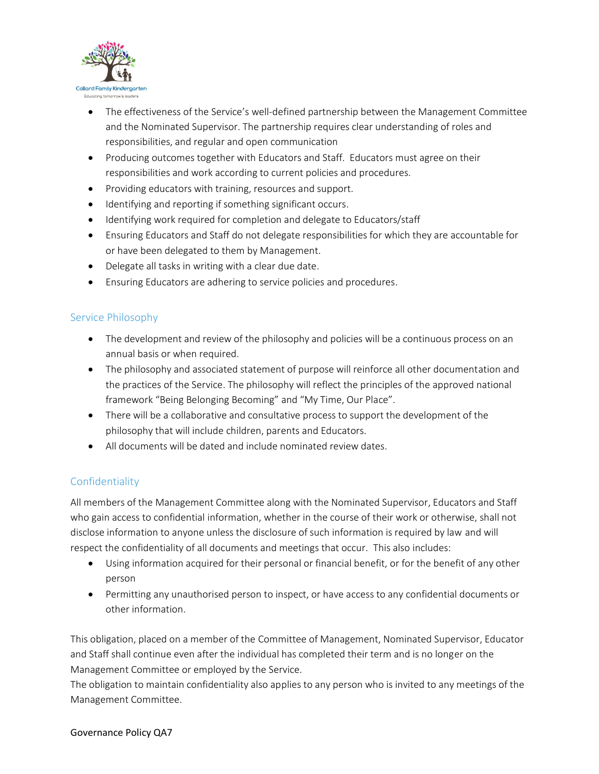

- The effectiveness of the Service's well-defined partnership between the Management Committee and the Nominated Supervisor. The partnership requires clear understanding of roles and responsibilities, and regular and open communication
- Producing outcomes together with Educators and Staff. Educators must agree on their responsibilities and work according to current policies and procedures.
- Providing educators with training, resources and support.
- $\bullet$  Identifying and reporting if something significant occurs.
- Identifying work required for completion and delegate to Educators/staff
- Ensuring Educators and Staff do not delegate responsibilities for which they are accountable for or have been delegated to them by Management.
- Delegate all tasks in writing with a clear due date.
- Ensuring Educators are adhering to service policies and procedures.

#### Service Philosophy

- The development and review of the philosophy and policies will be a continuous process on an annual basis or when required.
- The philosophy and associated statement of purpose will reinforce all other documentation and the practices of the Service. The philosophy will reflect the principles of the approved national framework "Being Belonging Becoming" and "My Time, Our Place".
- There will be a collaborative and consultative process to support the development of the philosophy that will include children, parents and Educators.
- All documents will be dated and include nominated review dates.

# **Confidentiality**

All members of the Management Committee along with the Nominated Supervisor, Educators and Staff who gain access to confidential information, whether in the course of their work or otherwise, shall not disclose information to anyone unless the disclosure of such information is required by law and will respect the confidentiality of all documents and meetings that occur. This also includes:

- Using information acquired for their personal or financial benefit, or for the benefit of any other person
- Permitting any unauthorised person to inspect, or have access to any confidential documents or other information.

This obligation, placed on a member of the Committee of Management, Nominated Supervisor, Educator and Staff shall continue even after the individual has completed their term and is no longer on the Management Committee or employed by the Service.

The obligation to maintain confidentiality also applies to any person who is invited to any meetings of the Management Committee.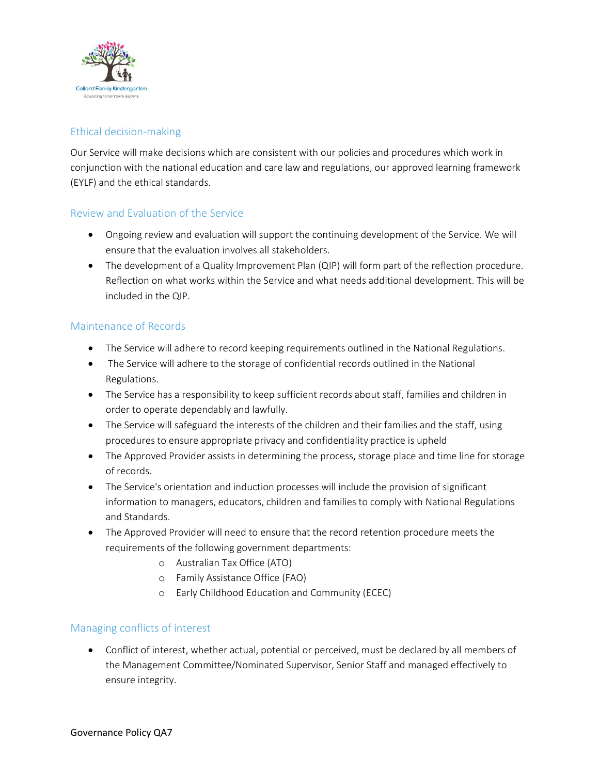

# Ethical decision-making

Our Service will make decisions which are consistent with our policies and procedures which work in conjunction with the national education and care law and regulations, our approved learning framework (EYLF) and the ethical standards.

#### Review and Evaluation of the Service

- Ongoing review and evaluation will support the continuing development of the Service. We will ensure that the evaluation involves all stakeholders.
- The development of a Quality Improvement Plan (QIP) will form part of the reflection procedure. Reflection on what works within the Service and what needs additional development. This will be included in the QIP.

#### Maintenance of Records

- The Service will adhere to record keeping requirements outlined in the National Regulations.
- The Service will adhere to the storage of confidential records outlined in the National Regulations.
- The Service has a responsibility to keep sufficient records about staff, families and children in order to operate dependably and lawfully.
- The Service will safeguard the interests of the children and their families and the staff, using procedures to ensure appropriate privacy and confidentiality practice is upheld
- The Approved Provider assists in determining the process, storage place and time line for storage of records.
- The Service's orientation and induction processes will include the provision of significant information to managers, educators, children and families to comply with National Regulations and Standards.
- The Approved Provider will need to ensure that the record retention procedure meets the requirements of the following government departments:
	- o Australian Tax Office (ATO)
	- o Family Assistance Office (FAO)
	- o Early Childhood Education and Community (ECEC)

#### Managing conflicts of interest

 Conflict of interest, whether actual, potential or perceived, must be declared by all members of the Management Committee/Nominated Supervisor, Senior Staff and managed effectively to ensure integrity.